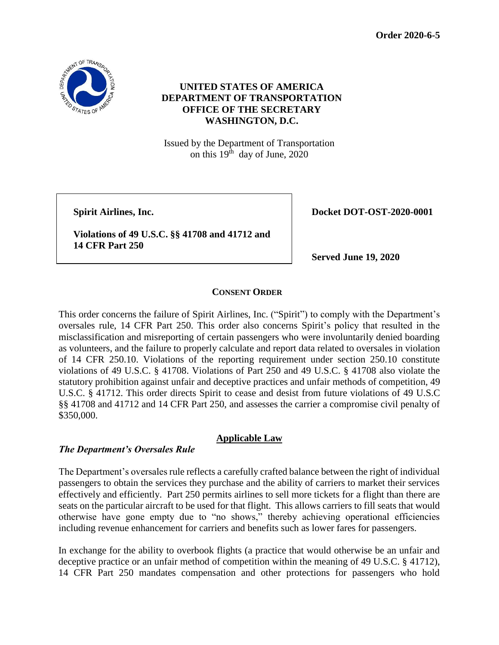**Order 2020-6-5**



# **UNITED STATES OF AMERICA DEPARTMENT OF TRANSPORTATION OFFICE OF THE SECRETARY WASHINGTON, D.C.**

Issued by the Department of Transportation on this  $19<sup>th</sup>$  day of June, 2020

**Violations of 49 U.S.C. §§ 41708 and 41712 and 14 CFR Part 250**

**Spirit Airlines, Inc. Docket DOT-OST-2020-0001** 

**Served June 19, 2020**

### **CONSENT ORDER**

This order concerns the failure of Spirit Airlines, Inc. ("Spirit") to comply with the Department's oversales rule, 14 CFR Part 250. This order also concerns Spirit's policy that resulted in the misclassification and misreporting of certain passengers who were involuntarily denied boarding as volunteers, and the failure to properly calculate and report data related to oversales in violation of 14 CFR 250.10. Violations of the reporting requirement under section 250.10 constitute violations of 49 U.S.C. § 41708. Violations of Part 250 and 49 U.S.C. § 41708 also violate the statutory prohibition against unfair and deceptive practices and unfair methods of competition, 49 U.S.C. § 41712. This order directs Spirit to cease and desist from future violations of 49 U.S.C §§ 41708 and 41712 and 14 CFR Part 250, and assesses the carrier a compromise civil penalty of \$350,000.

### **Applicable Law**

### *The Department's Oversales Rule*

The Department's oversales rule reflects a carefully crafted balance between the right of individual passengers to obtain the services they purchase and the ability of carriers to market their services effectively and efficiently. Part 250 permits airlines to sell more tickets for a flight than there are seats on the particular aircraft to be used for that flight. This allows carriers to fill seats that would otherwise have gone empty due to "no shows," thereby achieving operational efficiencies including revenue enhancement for carriers and benefits such as lower fares for passengers.

In exchange for the ability to overbook flights (a practice that would otherwise be an unfair and deceptive practice or an unfair method of competition within the meaning of 49 U.S.C. § 41712), 14 CFR Part 250 mandates compensation and other protections for passengers who hold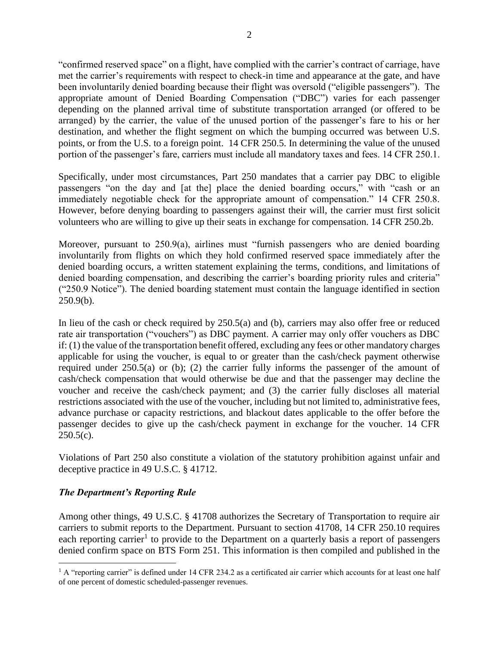"confirmed reserved space" on a flight, have complied with the carrier's contract of carriage, have met the carrier's requirements with respect to check-in time and appearance at the gate, and have been involuntarily denied boarding because their flight was oversold ("eligible passengers"). The appropriate amount of Denied Boarding Compensation ("DBC") varies for each passenger depending on the planned arrival time of substitute transportation arranged (or offered to be arranged) by the carrier, the value of the unused portion of the passenger's fare to his or her destination, and whether the flight segment on which the bumping occurred was between U.S. points, or from the U.S. to a foreign point. 14 CFR 250.5. In determining the value of the unused portion of the passenger's fare, carriers must include all mandatory taxes and fees. 14 CFR 250.1.

Specifically, under most circumstances, Part 250 mandates that a carrier pay DBC to eligible passengers "on the day and [at the] place the denied boarding occurs," with "cash or an immediately negotiable check for the appropriate amount of compensation." 14 CFR 250.8. However, before denying boarding to passengers against their will, the carrier must first solicit volunteers who are willing to give up their seats in exchange for compensation. 14 CFR 250.2b.

Moreover, pursuant to 250.9(a), airlines must "furnish passengers who are denied boarding involuntarily from flights on which they hold confirmed reserved space immediately after the denied boarding occurs, a written statement explaining the terms, conditions, and limitations of denied boarding compensation, and describing the carrier's boarding priority rules and criteria" ("250.9 Notice"). The denied boarding statement must contain the language identified in section  $250.9(b)$ .

In lieu of the cash or check required by 250.5(a) and (b), carriers may also offer free or reduced rate air transportation ("vouchers") as DBC payment. A carrier may only offer vouchers as DBC if: (1) the value of the transportation benefit offered, excluding any fees or other mandatory charges applicable for using the voucher, is equal to or greater than the cash/check payment otherwise required under 250.5(a) or (b); (2) the carrier fully informs the passenger of the amount of cash/check compensation that would otherwise be due and that the passenger may decline the voucher and receive the cash/check payment; and (3) the carrier fully discloses all material restrictions associated with the use of the voucher, including but not limited to, administrative fees, advance purchase or capacity restrictions, and blackout dates applicable to the offer before the passenger decides to give up the cash/check payment in exchange for the voucher. 14 CFR  $250.5(c)$ .

Violations of Part 250 also constitute a violation of the statutory prohibition against unfair and deceptive practice in 49 U.S.C. § 41712.

# *The Department's Reporting Rule*

 $\overline{a}$ 

Among other things, 49 U.S.C. § 41708 authorizes the Secretary of Transportation to require air carriers to submit reports to the Department. Pursuant to section 41708, 14 CFR 250.10 requires each reporting carrier<sup>1</sup> to provide to the Department on a quarterly basis a report of passengers denied confirm space on BTS Form 251. This information is then compiled and published in the

<sup>&</sup>lt;sup>1</sup> A "reporting carrier" is defined under 14 CFR 234.2 as a certificated air carrier which accounts for at least one half of one percent of domestic scheduled-passenger revenues.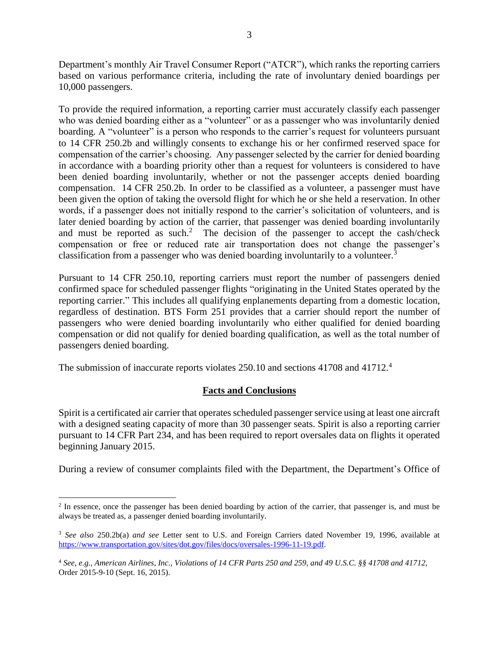Department's monthly Air Travel Consumer Report ("ATCR"), which ranks the reporting carriers based on various performance criteria, including the rate of involuntary denied boardings per 10,000 passengers.

To provide the required information, a reporting carrier must accurately classify each passenger who was denied boarding either as a "volunteer" or as a passenger who was involuntarily denied boarding. A "volunteer" is a person who responds to the carrier's request for volunteers pursuant to 14 CFR 250.2b and willingly consents to exchange his or her confirmed reserved space for compensation of the carrier's choosing. Any passenger selected by the carrier for denied boarding in accordance with a boarding priority other than a request for volunteers is considered to have been denied boarding involuntarily, whether or not the passenger accepts denied boarding compensation. 14 CFR 250.2b. In order to be classified as a volunteer, a passenger must have been given the option of taking the oversold flight for which he or she held a reservation. In other words, if a passenger does not initially respond to the carrier's solicitation of volunteers, and is later denied boarding by action of the carrier, that passenger was denied boarding involuntarily and must be reported as such.<sup>2</sup> The decision of the passenger to accept the cash/check compensation or free or reduced rate air transportation does not change the passenger's classification from a passenger who was denied boarding involuntarily to a volunteer.<sup>3</sup>

Pursuant to 14 CFR 250.10, reporting carriers must report the number of passengers denied confirmed space for scheduled passenger flights "originating in the United States operated by the reporting carrier." This includes all qualifying enplanements departing from a domestic location, regardless of destination. BTS Form 251 provides that a carrier should report the number of passengers who were denied boarding involuntarily who either qualified for denied boarding compensation or did not qualify for denied boarding qualification, as well as the total number of passengers denied boarding.

The submission of inaccurate reports violates 250.10 and sections 41708 and 41712.<sup>4</sup>

 $\overline{a}$ 

# **Facts and Conclusions**

Spirit is a certificated air carrier that operates scheduled passenger service using at least one aircraft with a designed seating capacity of more than 30 passenger seats. Spirit is also a reporting carrier pursuant to 14 CFR Part 234, and has been required to report oversales data on flights it operated beginning January 2015.

During a review of consumer complaints filed with the Department, the Department's Office of

<sup>&</sup>lt;sup>2</sup> In essence, once the passenger has been denied boarding by action of the carrier, that passenger is, and must be always be treated as, a passenger denied boarding involuntarily.

<sup>3</sup> *See also* 250.2b(a) *and see* Letter sent to U.S. and Foreign Carriers dated November 19, 1996, available at [https://www.transportation.gov/sites/dot.gov/files/docs/oversales-1996-11-19.pdf.](https://www.transportation.gov/sites/dot.gov/files/docs/oversales-1996-11-19.pdf)

<sup>4</sup> *See*, *e.g., American Airlines, Inc., Violations of 14 CFR Parts 250 and 259, and 49 U.S.C. §§ 41708 and 41712,*  Order 2015-9-10 (Sept. 16, 2015).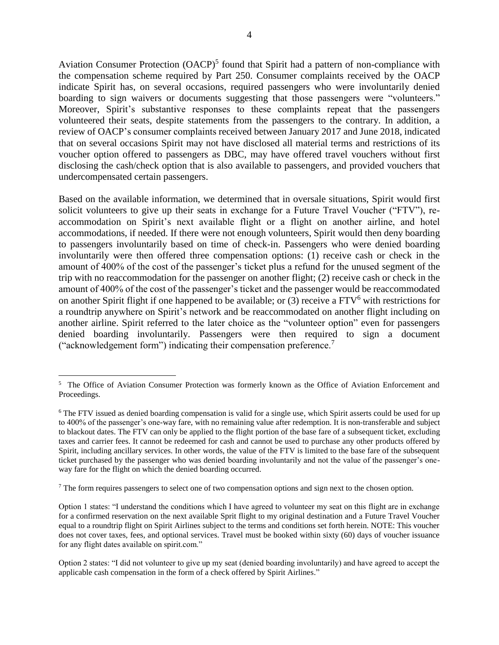Aviation Consumer Protection (OACP)<sup>5</sup> found that Spirit had a pattern of non-compliance with the compensation scheme required by Part 250. Consumer complaints received by the OACP indicate Spirit has, on several occasions, required passengers who were involuntarily denied boarding to sign waivers or documents suggesting that those passengers were "volunteers." Moreover, Spirit's substantive responses to these complaints repeat that the passengers volunteered their seats, despite statements from the passengers to the contrary. In addition, a review of OACP's consumer complaints received between January 2017 and June 2018, indicated that on several occasions Spirit may not have disclosed all material terms and restrictions of its voucher option offered to passengers as DBC, may have offered travel vouchers without first disclosing the cash/check option that is also available to passengers, and provided vouchers that undercompensated certain passengers.

Based on the available information, we determined that in oversale situations, Spirit would first solicit volunteers to give up their seats in exchange for a Future Travel Voucher ("FTV"), reaccommodation on Spirit's next available flight or a flight on another airline, and hotel accommodations, if needed. If there were not enough volunteers, Spirit would then deny boarding to passengers involuntarily based on time of check-in. Passengers who were denied boarding involuntarily were then offered three compensation options: (1) receive cash or check in the amount of 400% of the cost of the passenger's ticket plus a refund for the unused segment of the trip with no reaccommodation for the passenger on another flight; (2) receive cash or check in the amount of 400% of the cost of the passenger's ticket and the passenger would be reaccommodated on another Spirit flight if one happened to be available; or  $(3)$  receive a FTV<sup>6</sup> with restrictions for a roundtrip anywhere on Spirit's network and be reaccommodated on another flight including on another airline. Spirit referred to the later choice as the "volunteer option" even for passengers denied boarding involuntarily. Passengers were then required to sign a document ("acknowledgement form") indicating their compensation preference.<sup>7</sup>

 $\overline{a}$ 

<sup>7</sup> The form requires passengers to select one of two compensation options and sign next to the chosen option.

<sup>&</sup>lt;sup>5</sup> The Office of Aviation Consumer Protection was formerly known as the Office of Aviation Enforcement and Proceedings.

<sup>&</sup>lt;sup>6</sup> The FTV issued as denied boarding compensation is valid for a single use, which Spirit asserts could be used for up to 400% of the passenger's one-way fare, with no remaining value after redemption. It is non-transferable and subject to blackout dates. The FTV can only be applied to the flight portion of the base fare of a subsequent ticket, excluding taxes and carrier fees. It cannot be redeemed for cash and cannot be used to purchase any other products offered by Spirit, including ancillary services. In other words, the value of the FTV is limited to the base fare of the subsequent ticket purchased by the passenger who was denied boarding involuntarily and not the value of the passenger's oneway fare for the flight on which the denied boarding occurred.

Option 1 states: "I understand the conditions which I have agreed to volunteer my seat on this flight are in exchange for a confirmed reservation on the next available Sprit flight to my original destination and a Future Travel Voucher equal to a roundtrip flight on Spirit Airlines subject to the terms and conditions set forth herein. NOTE: This voucher does not cover taxes, fees, and optional services. Travel must be booked within sixty (60) days of voucher issuance for any flight dates available on spirit.com."

Option 2 states: "I did not volunteer to give up my seat (denied boarding involuntarily) and have agreed to accept the applicable cash compensation in the form of a check offered by Spirit Airlines."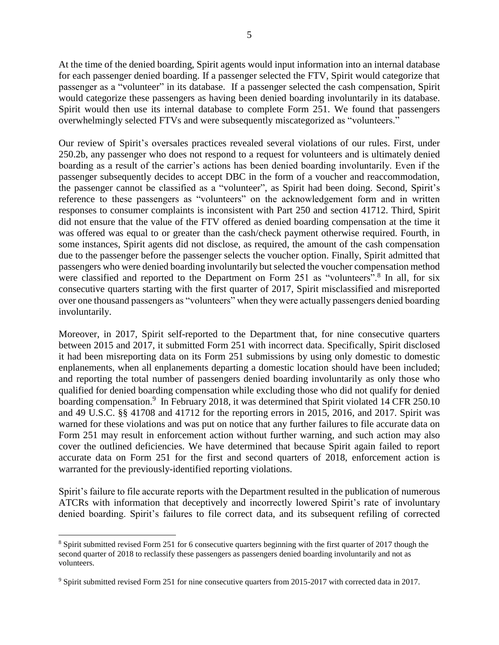At the time of the denied boarding, Spirit agents would input information into an internal database for each passenger denied boarding. If a passenger selected the FTV, Spirit would categorize that passenger as a "volunteer" in its database. If a passenger selected the cash compensation, Spirit would categorize these passengers as having been denied boarding involuntarily in its database. Spirit would then use its internal database to complete Form 251. We found that passengers overwhelmingly selected FTVs and were subsequently miscategorized as "volunteers."

Our review of Spirit's oversales practices revealed several violations of our rules. First, under 250.2b, any passenger who does not respond to a request for volunteers and is ultimately denied boarding as a result of the carrier's actions has been denied boarding involuntarily. Even if the passenger subsequently decides to accept DBC in the form of a voucher and reaccommodation, the passenger cannot be classified as a "volunteer", as Spirit had been doing. Second, Spirit's reference to these passengers as "volunteers" on the acknowledgement form and in written responses to consumer complaints is inconsistent with Part 250 and section 41712. Third, Spirit did not ensure that the value of the FTV offered as denied boarding compensation at the time it was offered was equal to or greater than the cash/check payment otherwise required. Fourth, in some instances, Spirit agents did not disclose, as required, the amount of the cash compensation due to the passenger before the passenger selects the voucher option. Finally, Spirit admitted that passengers who were denied boarding involuntarily but selected the voucher compensation method were classified and reported to the Department on Form 251 as "volunteers".<sup>8</sup> In all, for six consecutive quarters starting with the first quarter of 2017, Spirit misclassified and misreported over one thousand passengers as "volunteers" when they were actually passengers denied boarding involuntarily.

Moreover, in 2017, Spirit self-reported to the Department that, for nine consecutive quarters between 2015 and 2017, it submitted Form 251 with incorrect data. Specifically, Spirit disclosed it had been misreporting data on its Form 251 submissions by using only domestic to domestic enplanements, when all enplanements departing a domestic location should have been included; and reporting the total number of passengers denied boarding involuntarily as only those who qualified for denied boarding compensation while excluding those who did not qualify for denied boarding compensation.<sup>9</sup> In February 2018, it was determined that Spirit violated 14 CFR 250.10 and 49 U.S.C. §§ 41708 and 41712 for the reporting errors in 2015, 2016, and 2017. Spirit was warned for these violations and was put on notice that any further failures to file accurate data on Form 251 may result in enforcement action without further warning, and such action may also cover the outlined deficiencies. We have determined that because Spirit again failed to report accurate data on Form 251 for the first and second quarters of 2018, enforcement action is warranted for the previously-identified reporting violations.

Spirit's failure to file accurate reports with the Department resulted in the publication of numerous ATCRs with information that deceptively and incorrectly lowered Spirit's rate of involuntary denied boarding. Spirit's failures to file correct data, and its subsequent refiling of corrected

 $\overline{a}$ 

<sup>8</sup> Spirit submitted revised Form 251 for 6 consecutive quarters beginning with the first quarter of 2017 though the second quarter of 2018 to reclassify these passengers as passengers denied boarding involuntarily and not as volunteers.

<sup>9</sup> Spirit submitted revised Form 251 for nine consecutive quarters from 2015-2017 with corrected data in 2017.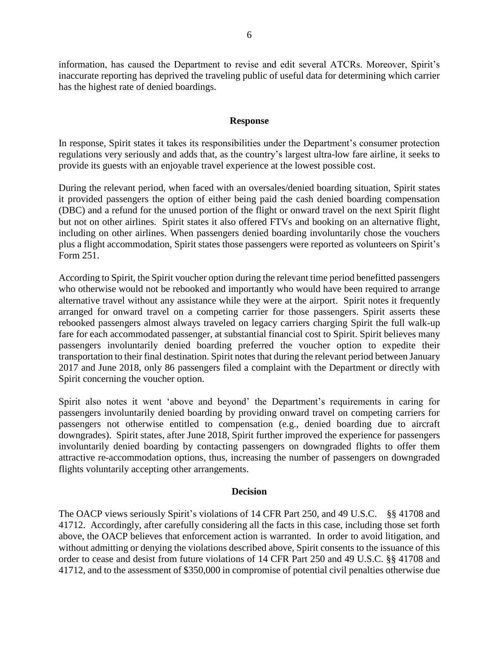information, has caused the Department to revise and edit several ATCRs. Moreover, Spirit's inaccurate reporting has deprived the traveling public of useful data for determining which carrier has the highest rate of denied boardings.

#### **Response**

In response, Spirit states it takes its responsibilities under the Department's consumer protection regulations very seriously and adds that, as the country's largest ultra-low fare airline, it seeks to provide its guests with an enjoyable travel experience at the lowest possible cost.

During the relevant period, when faced with an oversales/denied boarding situation, Spirit states it provided passengers the option of either being paid the cash denied boarding compensation (DBC) and a refund for the unused portion of the flight or onward travel on the next Spirit flight but not on other airlines. Spirit states it also offered FTVs and booking on an alternative flight, including on other airlines. When passengers denied boarding involuntarily chose the vouchers plus a flight accommodation, Spirit states those passengers were reported as volunteers on Spirit's Form 251.

According to Spirit, the Spirit voucher option during the relevant time period benefitted passengers who otherwise would not be rebooked and importantly who would have been required to arrange alternative travel without any assistance while they were at the airport. Spirit notes it frequently arranged for onward travel on a competing carrier for those passengers. Spirit asserts these rebooked passengers almost always traveled on legacy carriers charging Spirit the full walk-up fare for each accommodated passenger, at substantial financial cost to Spirit. Spirit believes many passengers involuntarily denied boarding preferred the voucher option to expedite their transportation to their final destination. Spirit notes that during the relevant period between January 2017 and June 2018, only 86 passengers filed a complaint with the Department or directly with Spirit concerning the voucher option.

Spirit also notes it went 'above and beyond' the Department's requirements in caring for passengers involuntarily denied boarding by providing onward travel on competing carriers for passengers not otherwise entitled to compensation (e.g., denied boarding due to aircraft downgrades). Spirit states, after June 2018, Spirit further improved the experience for passengers involuntarily denied boarding by contacting passengers on downgraded flights to offer them attractive re-accommodation options, thus, increasing the number of passengers on downgraded flights voluntarily accepting other arrangements.

#### **Decision**

The OACP views seriously Spirit's violations of 14 CFR Part 250, and 49 U.S.C. §§ 41708 and 41712. Accordingly, after carefully considering all the facts in this case, including those set forth above, the OACP believes that enforcement action is warranted. In order to avoid litigation, and without admitting or denying the violations described above, Spirit consents to the issuance of this order to cease and desist from future violations of 14 CFR Part 250 and 49 U.S.C. §§ 41708 and 41712, and to the assessment of \$350,000 in compromise of potential civil penalties otherwise due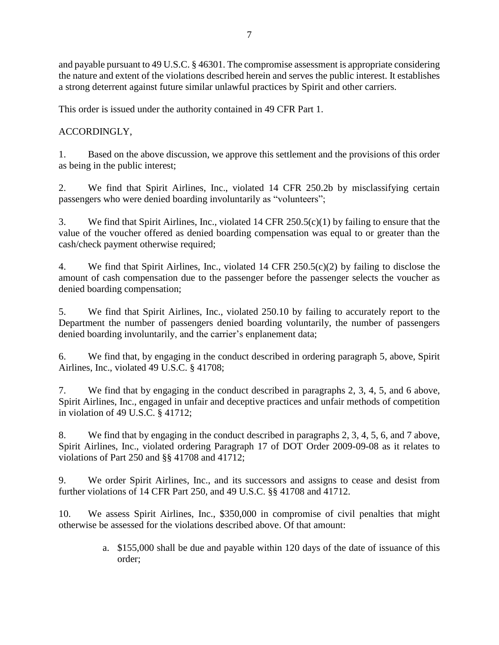and payable pursuant to 49 U.S.C. § 46301. The compromise assessment is appropriate considering the nature and extent of the violations described herein and serves the public interest. It establishes a strong deterrent against future similar unlawful practices by Spirit and other carriers.

This order is issued under the authority contained in 49 CFR Part 1.

ACCORDINGLY,

1. Based on the above discussion, we approve this settlement and the provisions of this order as being in the public interest;

2. We find that Spirit Airlines, Inc., violated 14 CFR 250.2b by misclassifying certain passengers who were denied boarding involuntarily as "volunteers";

3. We find that Spirit Airlines, Inc., violated 14 CFR 250.5(c)(1) by failing to ensure that the value of the voucher offered as denied boarding compensation was equal to or greater than the cash/check payment otherwise required;

4. We find that Spirit Airlines, Inc., violated 14 CFR 250.5(c)(2) by failing to disclose the amount of cash compensation due to the passenger before the passenger selects the voucher as denied boarding compensation;

5. We find that Spirit Airlines, Inc., violated 250.10 by failing to accurately report to the Department the number of passengers denied boarding voluntarily, the number of passengers denied boarding involuntarily, and the carrier's enplanement data;

6. We find that, by engaging in the conduct described in ordering paragraph 5, above, Spirit Airlines, Inc., violated 49 U.S.C. § 41708;

7. We find that by engaging in the conduct described in paragraphs 2, 3, 4, 5, and 6 above, Spirit Airlines, Inc., engaged in unfair and deceptive practices and unfair methods of competition in violation of 49 U.S.C. § 41712;

8. We find that by engaging in the conduct described in paragraphs 2, 3, 4, 5, 6, and 7 above, Spirit Airlines, Inc., violated ordering Paragraph 17 of DOT Order 2009-09-08 as it relates to violations of Part 250 and §§ 41708 and 41712;

9. We order Spirit Airlines, Inc., and its successors and assigns to cease and desist from further violations of 14 CFR Part 250, and 49 U.S.C. §§ 41708 and 41712.

10. We assess Spirit Airlines, Inc., \$350,000 in compromise of civil penalties that might otherwise be assessed for the violations described above. Of that amount:

> a. \$155,000 shall be due and payable within 120 days of the date of issuance of this order;